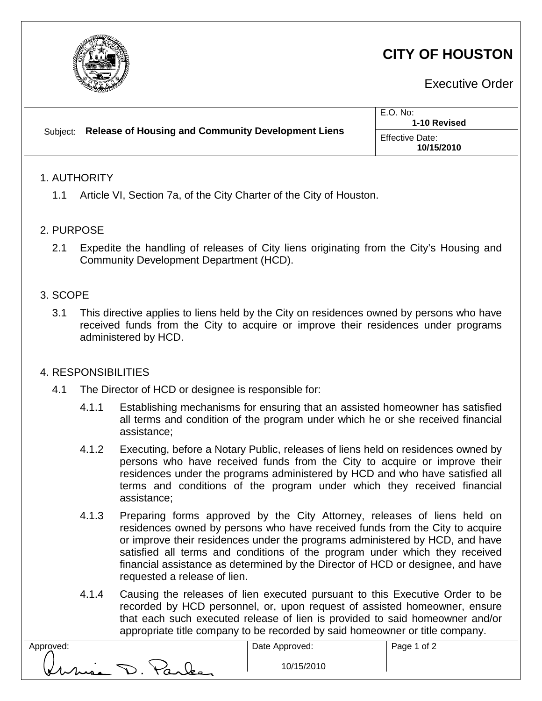

# **CITY OF HOUSTON**

Executive Order

| Subject: Release of Housing and Community Development Liens | E.O. No:<br>1-10 Revised             |
|-------------------------------------------------------------|--------------------------------------|
|                                                             | <b>Effective Date:</b><br>10/15/2010 |
| <b>ALITHORITY</b>                                           |                                      |

#### 1. AUTHORITY

1.1 Article VI, Section 7a, of the City Charter of the City of Houston.

### 2. PURPOSE

2.1 Expedite the handling of releases of City liens originating from the City's Housing and Community Development Department (HCD).

## 3. SCOPE

3.1 This directive applies to liens held by the City on residences owned by persons who have received funds from the City to acquire or improve their residences under programs administered by HCD.

## 4. RESPONSIBILITIES

- 4.1 The Director of HCD or designee is responsible for:
	- 4.1.1 Establishing mechanisms for ensuring that an assisted homeowner has satisfied all terms and condition of the program under which he or she received financial assistance;
	- 4.1.2 Executing, before a Notary Public, releases of liens held on residences owned by persons who have received funds from the City to acquire or improve their residences under the programs administered by HCD and who have satisfied all terms and conditions of the program under which they received financial assistance;
	- 4.1.3 Preparing forms approved by the City Attorney, releases of liens held on residences owned by persons who have received funds from the City to acquire or improve their residences under the programs administered by HCD, and have satisfied all terms and conditions of the program under which they received financial assistance as determined by the Director of HCD or designee, and have requested a release of lien.
	- 4.1.4 Causing the releases of lien executed pursuant to this Executive Order to be recorded by HCD personnel, or, upon request of assisted homeowner, ensure that each such executed release of lien is provided to said homeowner and/or appropriate title company to be recorded by said homeowner or title company.

| Approved: |               |
|-----------|---------------|
|           |               |
|           |               |
| V         | $\sim$ $\sim$ |